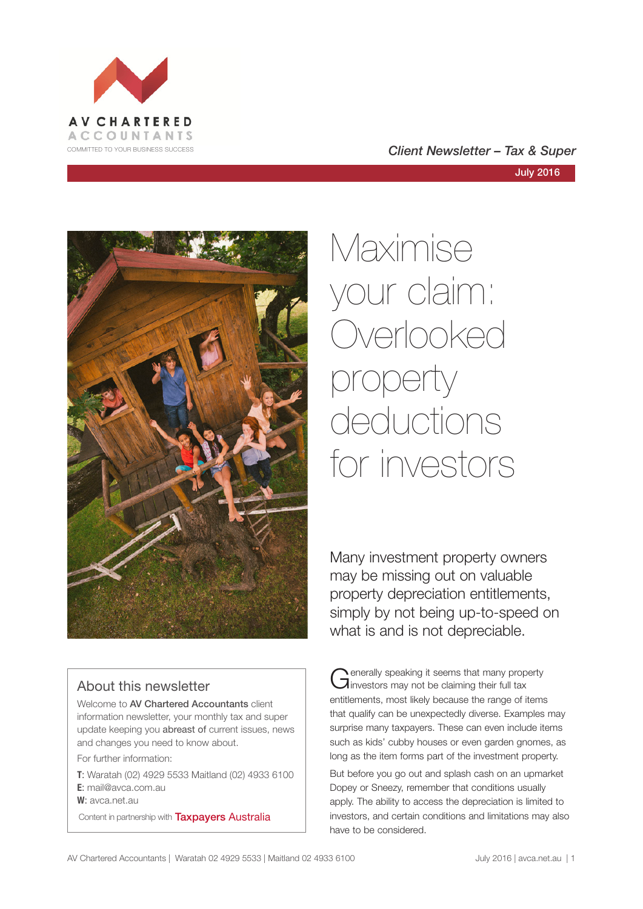

#### COMMITTED TO YOUR BUSINESS SUCCESS **COMMITTED TO YOUR BUSINESS SUCCESS**



# Maximise your claim: Overlooked property deductions for investors

Many investment property owners may be missing out on valuable property depreciation entitlements, simply by not being up-to-speed on what is and is not depreciable.

#### About this newsletter

Welcome to AV Chartered Accountants client information newsletter, your monthly tax and super update keeping you abreast of current issues, news and changes you need to know about.

For further information:

**T**: Waratah (02) 4929 5533 Maitland (02) 4933 6100 **E**: mail@avca.com.au

**W**: avca.net.au

Content in partnership with **Taxpayers Australia** 

Generally speaking it seems that many property<br>
Ginvestors may not be claiming their full tax entitlements, most likely because the range of items that qualify can be unexpectedly diverse. Examples may surprise many taxpayers. These can even include items such as kids' cubby houses or even garden gnomes, as long as the item forms part of the investment property.

But before you go out and splash cash on an upmarket Dopey or Sneezy, remember that conditions usually apply. The ability to access the depreciation is limited to investors, and certain conditions and limitations may also have to be considered.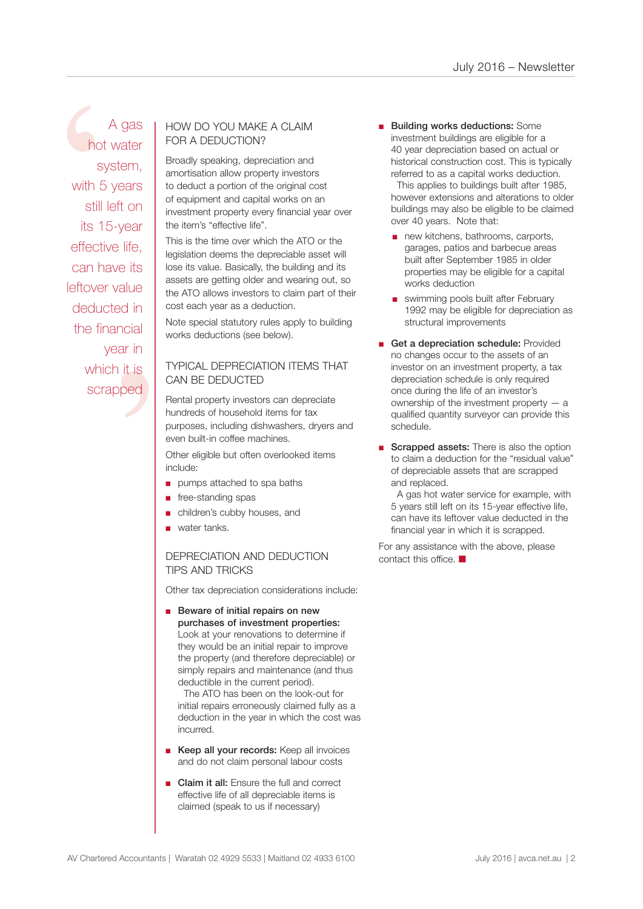d in<br>
ncial<br>
ar in<br>
it is<br>
ped A gas<br>
hot water<br>
system,<br>
FOR A DEDUCTION?<br>
FOR A DEDUCTION?<br>
FOR A DEDUCTION?<br>
FOR A DEDUCTION?<br>
FOR A DEDUCTION?<br>
FOR A DEDUCTION?<br>
FOR A DEDUCTION?<br>
FOR A DEDUCTION?<br>
FOR A DEDUCTION?<br>
FOR A DEDUCTION?<br>
FOR A DEDUCTION A gas hot water system, with 5 years still left on its 15-year effective life, can have its leftover value deducted in the financial year in which it is scrapped

## FOR A DEDUCTION?

Broadly speaking, depreciation and amortisation allow property investors to deduct a portion of the original cost of equipment and capital works on an investment property every financial year over the item's "effective life".

This is the time over which the ATO or the legislation deems the depreciable asset will lose its value. Basically, the building and its assets are getting older and wearing out, so the ATO allows investors to claim part of their cost each year as a deduction.

Note special statutory rules apply to building works deductions (see below).

#### TYPICAL DEPRECIATION ITEMS THAT CAN BE DEDUCTED

Rental property investors can depreciate hundreds of household items for tax purposes, including dishwashers, dryers and even built-in coffee machines.

Other eligible but often overlooked items include:

- pumps attached to spa baths
- free-standing spas
- children's cubby houses, and
- water tanks.

#### DEPRECIATION AND DEDUCTION TIPS AND TRICKS

Other tax depreciation considerations include:

■ Beware of initial repairs on new purchases of investment properties: Look at your renovations to determine if they would be an initial repair to improve the property (and therefore depreciable) or simply repairs and maintenance (and thus deductible in the current period).

 The ATO has been on the look-out for initial repairs erroneously claimed fully as a deduction in the year in which the cost was incurred.

- Keep all your records: Keep all invoices and do not claim personal labour costs
- **Claim it all:** Ensure the full and correct effective life of all depreciable items is claimed (speak to us if necessary)

■ Building works deductions: Some investment buildings are eligible for a 40 year depreciation based on actual or historical construction cost. This is typically referred to as a capital works deduction.

This applies to buildings built after 1985. however extensions and alterations to older buildings may also be eligible to be claimed over 40 years. Note that:

- new kitchens, bathrooms, carports, garages, patios and barbecue areas built after September 1985 in older properties may be eligible for a capital works deduction
- swimming pools built after February 1992 may be eligible for depreciation as structural improvements
- Get a depreciation schedule: Provided no changes occur to the assets of an investor on an investment property, a tax depreciation schedule is only required once during the life of an investor's ownership of the investment property — a qualified quantity surveyor can provide this schedule.
- Scrapped assets: There is also the option to claim a deduction for the "residual value" of depreciable assets that are scrapped and replaced.

 A gas hot water service for example, with 5 years still left on its 15-year effective life, can have its leftover value deducted in the financial year in which it is scrapped.

For any assistance with the above, please contact this office.  $\blacksquare$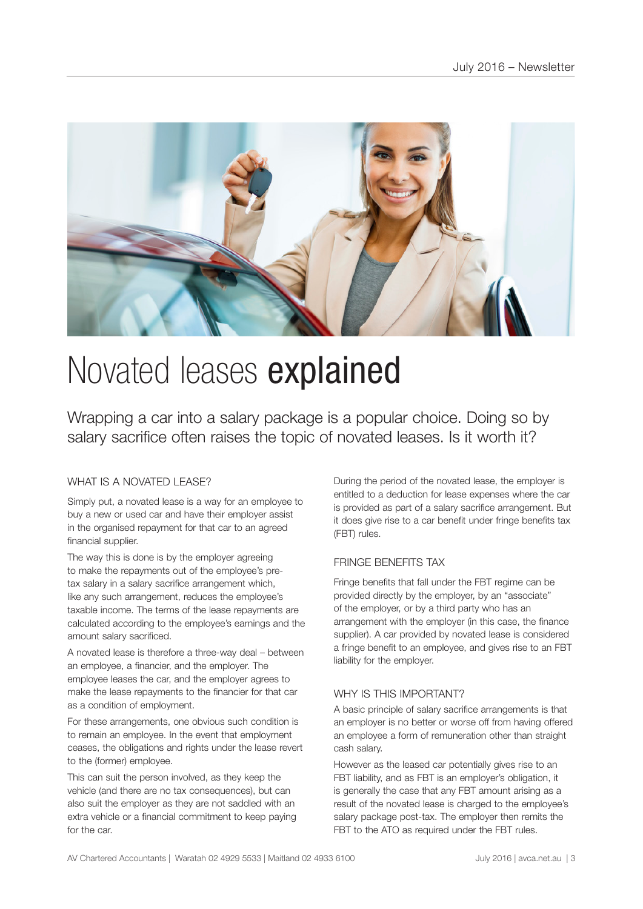

# Novated leases explained

Wrapping a car into a salary package is a popular choice. Doing so by salary sacrifice often raises the topic of novated leases. Is it worth it?

#### WHAT IS A NOVATED LEASE?

Simply put, a novated lease is a way for an employee to buy a new or used car and have their employer assist in the organised repayment for that car to an agreed financial supplier.

The way this is done is by the employer agreeing to make the repayments out of the employee's pretax salary in a salary sacrifice arrangement which, like any such arrangement, reduces the employee's taxable income. The terms of the lease repayments are calculated according to the employee's earnings and the amount salary sacrificed.

A novated lease is therefore a three-way deal – between an employee, a financier, and the employer. The employee leases the car, and the employer agrees to make the lease repayments to the financier for that car as a condition of employment.

For these arrangements, one obvious such condition is to remain an employee. In the event that employment ceases, the obligations and rights under the lease revert to the (former) employee.

This can suit the person involved, as they keep the vehicle (and there are no tax consequences), but can also suit the employer as they are not saddled with an extra vehicle or a financial commitment to keep paying for the car.

During the period of the novated lease, the employer is entitled to a deduction for lease expenses where the car is provided as part of a salary sacrifice arrangement. But it does give rise to a car benefit under fringe benefits tax (FBT) rules.

#### FRINGE BENEFITS TAX

Fringe benefits that fall under the FBT regime can be provided directly by the employer, by an "associate" of the employer, or by a third party who has an arrangement with the employer (in this case, the finance supplier). A car provided by novated lease is considered a fringe benefit to an employee, and gives rise to an FBT liability for the employer.

#### WHY IS THIS IMPORTANT?

A basic principle of salary sacrifice arrangements is that an employer is no better or worse off from having offered an employee a form of remuneration other than straight cash salary.

However as the leased car potentially gives rise to an FBT liability, and as FBT is an employer's obligation, it is generally the case that any FBT amount arising as a result of the novated lease is charged to the employee's salary package post-tax. The employer then remits the FBT to the ATO as required under the FBT rules.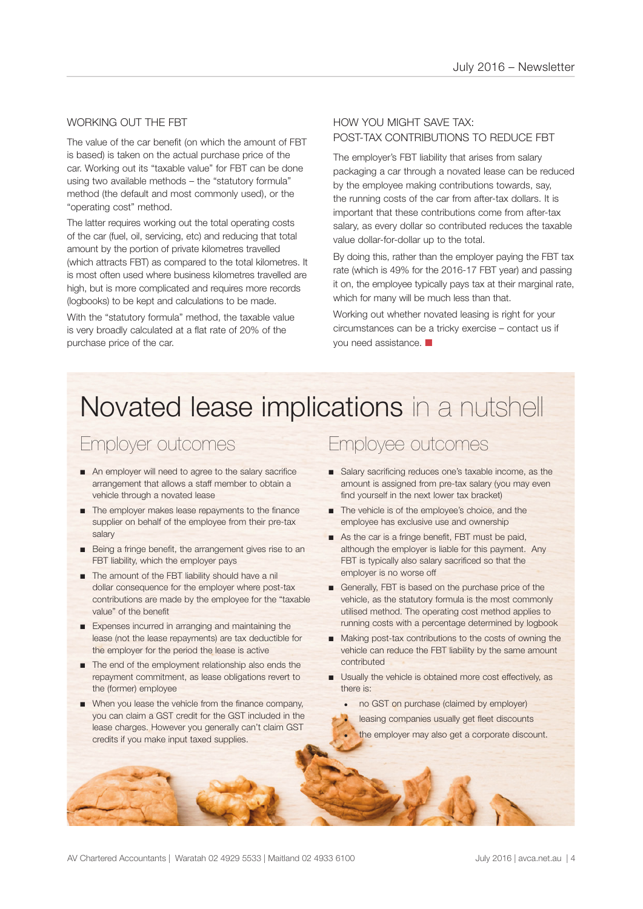#### WORKING OUT THE FBT

The value of the car benefit (on which the amount of FBT is based) is taken on the actual purchase price of the car. Working out its "taxable value" for FBT can be done using two available methods – the "statutory formula" method (the default and most commonly used), or the "operating cost" method.

The latter requires working out the total operating costs of the car (fuel, oil, servicing, etc) and reducing that total amount by the portion of private kilometres travelled (which attracts FBT) as compared to the total kilometres. It is most often used where business kilometres travelled are high, but is more complicated and requires more records (logbooks) to be kept and calculations to be made.

With the "statutory formula" method, the taxable value is very broadly calculated at a flat rate of 20% of the purchase price of the car.

#### HOW YOU MIGHT SAVE TAX: POST-TAX CONTRIBUTIONS TO REDUCE FBT

The employer's FBT liability that arises from salary packaging a car through a novated lease can be reduced by the employee making contributions towards, say, the running costs of the car from after-tax dollars. It is important that these contributions come from after-tax salary, as every dollar so contributed reduces the taxable value dollar-for-dollar up to the total.

By doing this, rather than the employer paying the FBT tax rate (which is 49% for the 2016-17 FBT year) and passing it on, the employee typically pays tax at their marginal rate, which for many will be much less than that.

Working out whether novated leasing is right for your circumstances can be a tricky exercise – contact us if you need assistance.  $\blacksquare$ 

## Novated lease implications in a nutshell

## Employer outcomes

- An employer will need to agree to the salary sacrifice arrangement that allows a staff member to obtain a vehicle through a novated lease
- The employer makes lease repayments to the finance supplier on behalf of the employee from their pre-tax salary
- Being a fringe benefit, the arrangement gives rise to an FBT liability, which the employer pays
- The amount of the FBT liability should have a nil dollar consequence for the employer where post-tax contributions are made by the employee for the "taxable value" of the benefit
- Expenses incurred in arranging and maintaining the lease (not the lease repayments) are tax deductible for the employer for the period the lease is active
- The end of the employment relationship also ends the repayment commitment, as lease obligations revert to the (former) employee
- When you lease the vehicle from the finance company, you can claim a GST credit for the GST included in the lease charges. However you generally can't claim GST credits if you make input taxed supplies.

### Employee outcomes

- Salary sacrificing reduces one's taxable income, as the amount is assigned from pre-tax salary (you may even find yourself in the next lower tax bracket)
- The vehicle is of the employee's choice, and the employee has exclusive use and ownership
- As the car is a fringe benefit, FBT must be paid, although the employer is liable for this payment. Any FBT is typically also salary sacrificed so that the employer is no worse off
- Generally, FBT is based on the purchase price of the vehicle, as the statutory formula is the most commonly utilised method. The operating cost method applies to running costs with a percentage determined by logbook
- Making post-tax contributions to the costs of owning the vehicle can reduce the FBT liability by the same amount contributed
- Usually the vehicle is obtained more cost effectively, as there is:
	- no GST on purchase (claimed by employer)
	- leasing companies usually get fleet discounts
	- the employer may also get a corporate discount.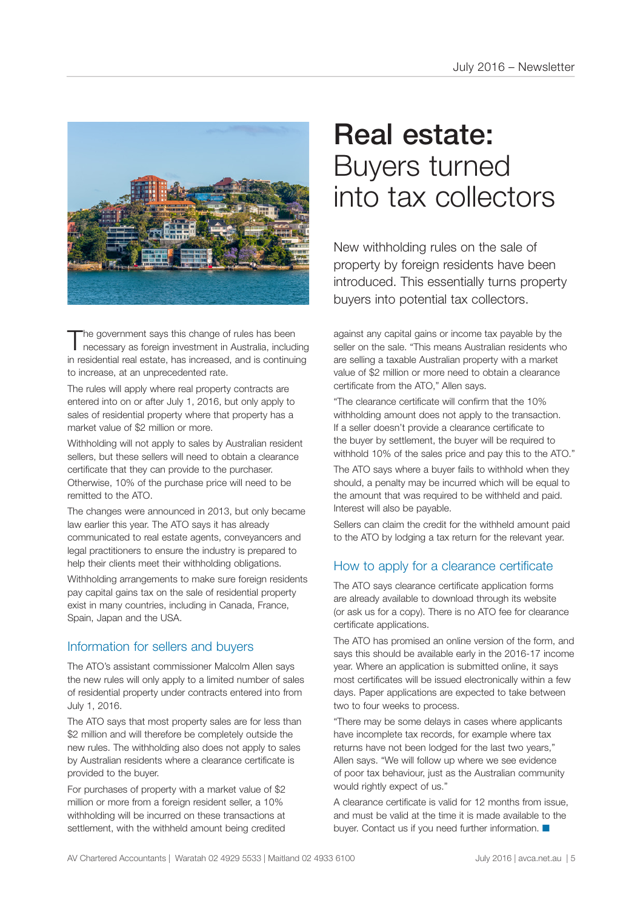

The government says this change of rules has been<br>necessary as foreign investment in Australia, including in residential real estate, has increased, and is continuing to increase, at an unprecedented rate.

The rules will apply where real property contracts are entered into on or after July 1, 2016, but only apply to sales of residential property where that property has a market value of \$2 million or more.

Withholding will not apply to sales by Australian resident sellers, but these sellers will need to obtain a clearance certificate that they can provide to the purchaser. Otherwise, 10% of the purchase price will need to be remitted to the ATO.

The changes were announced in 2013, but only became law earlier this year. The ATO says it has already communicated to real estate agents, conveyancers and legal practitioners to ensure the industry is prepared to help their clients meet their withholding obligations.

Withholding arrangements to make sure foreign residents pay capital gains tax on the sale of residential property exist in many countries, including in Canada, France, Spain, Japan and the USA.

#### Information for sellers and buyers

The ATO's assistant commissioner Malcolm Allen says the new rules will only apply to a limited number of sales of residential property under contracts entered into from July 1, 2016.

The ATO says that most property sales are for less than \$2 million and will therefore be completely outside the new rules. The withholding also does not apply to sales by Australian residents where a clearance certificate is provided to the buyer.

For purchases of property with a market value of \$2 million or more from a foreign resident seller, a 10% withholding will be incurred on these transactions at settlement, with the withheld amount being credited

## Real estate: Buyers turned into tax collectors

New withholding rules on the sale of property by foreign residents have been introduced. This essentially turns property buyers into potential tax collectors.

against any capital gains or income tax payable by the seller on the sale. "This means Australian residents who are selling a taxable Australian property with a market value of \$2 million or more need to obtain a clearance certificate from the ATO," Allen says.

"The clearance certificate will confirm that the 10% withholding amount does not apply to the transaction. If a seller doesn't provide a clearance certificate to the buyer by settlement, the buyer will be required to withhold 10% of the sales price and pay this to the ATO."

The ATO says where a buyer fails to withhold when they should, a penalty may be incurred which will be equal to the amount that was required to be withheld and paid. Interest will also be payable.

Sellers can claim the credit for the withheld amount paid to the ATO by lodging a tax return for the relevant year.

#### How to apply for a clearance certificate

The ATO says clearance certificate application forms are already available to download through its website (or ask us for a copy). There is no ATO fee for clearance certificate applications.

The ATO has promised an online version of the form, and says this should be available early in the 2016-17 income year. Where an application is submitted online, it says most certificates will be issued electronically within a few days. Paper applications are expected to take between two to four weeks to process.

"There may be some delays in cases where applicants have incomplete tax records, for example where tax returns have not been lodged for the last two years," Allen says. "We will follow up where we see evidence of poor tax behaviour, just as the Australian community would rightly expect of us."

A clearance certificate is valid for 12 months from issue, and must be valid at the time it is made available to the buyer. Contact us if you need further information.  $\blacksquare$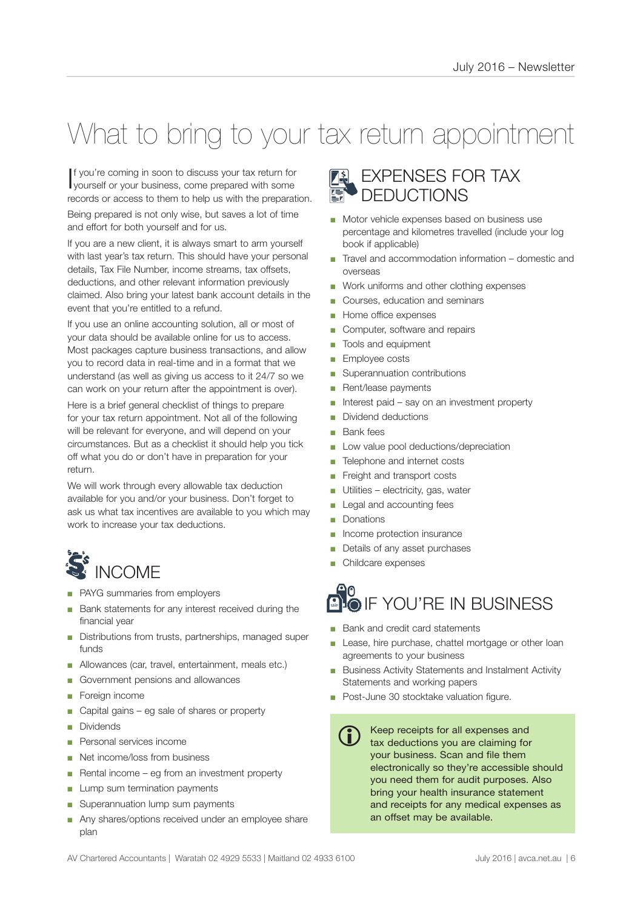# What to bring to your tax return appointment

I f you're coming in soon to discuss your tax return for yourself or your business, come prepared with some records or access to them to help us with the preparation.

Being prepared is not only wise, but saves a lot of time and effort for both yourself and for us.

If you are a new client, it is always smart to arm yourself with last year's tax return. This should have your personal details, Tax File Number, income streams, tax offsets, deductions, and other relevant information previously claimed. Also bring your latest bank account details in the event that you're entitled to a refund.

If you use an online accounting solution, all or most of your data should be available online for us to access. Most packages capture business transactions, and allow you to record data in real-time and in a format that we understand (as well as giving us access to it 24/7 so we can work on your return after the appointment is over).

Here is a brief general checklist of things to prepare for your tax return appointment. Not all of the following will be relevant for everyone, and will depend on your circumstances. But as a checklist it should help you tick off what you do or don't have in preparation for your return.

We will work through every allowable tax deduction available for you and/or your business. Don't forget to ask us what tax incentives are available to you which may work to increase your tax deductions.

# $\tilde{\mathbf{S}}$  INCOME

- PAYG summaries from employers
- Bank statements for any interest received during the financial year
- Distributions from trusts, partnerships, managed super funds
- Allowances (car, travel, entertainment, meals etc.)
- Government pensions and allowances
- Foreign income
- Capital gains eg sale of shares or property
- **Dividends**
- Personal services income
- Net income/loss from business
- Rental income eg from an investment property
- Lump sum termination payments
- Superannuation lump sum payments
- Any shares/options received under an employee share plan

### EXPENSES FOR TAX DEDUCTIONS

- Motor vehicle expenses based on business use percentage and kilometres travelled (include your log book if applicable)
- Travel and accommodation information domestic and overseas
- Work uniforms and other clothing expenses
- Courses, education and seminars
- Home office expenses
- Computer, software and repairs
- Tools and equipment
- Employee costs
- Superannuation contributions
- Rent/lease payments
- Interest paid say on an investment property
- Dividend deductions
- **Bank** fees
- Low value pool deductions/depreciation
- Telephone and internet costs
- Freight and transport costs
- Utilities electricity, gas, water
- Legal and accounting fees
- Donations
- Income protection insurance
- Details of any asset purchases
- Childcare expenses

#### ூ **BLO** IF YOU'RE IN BUSINESS

- Bank and credit card statements
- Lease, hire purchase, chattel mortgage or other loan agreements to your business
- Business Activity Statements and Instalment Activity Statements and working papers
- Post-June 30 stocktake valuation figure.
	- Keep receipts for all expenses and tax deductions you are claiming for your business. Scan and file them electronically so they're accessible should you need them for audit purposes. Also bring your health insurance statement and receipts for any medical expenses as an offset may be available. G)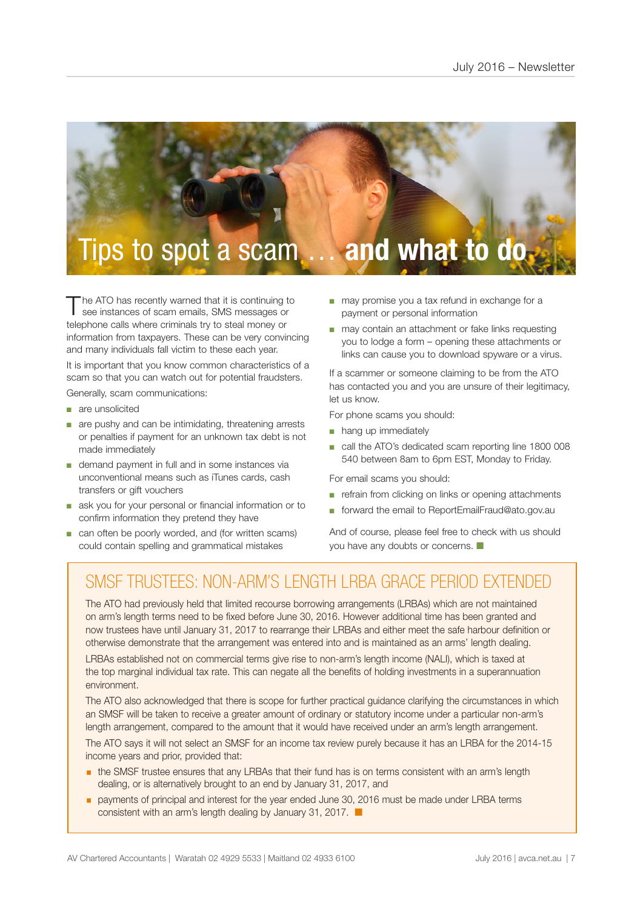

The ATO has recently warned that it is continuing to see instances of scam emails, SMS messages or telephone calls where criminals try to steal money or information from taxpayers. These can be very convincing and many individuals fall victim to these each year.

It is important that you know common characteristics of a scam so that you can watch out for potential fraudsters.

Generally, scam communications:

- are unsolicited
- are pushy and can be intimidating, threatening arrests or penalties if payment for an unknown tax debt is not made immediately
- demand payment in full and in some instances via unconventional means such as iTunes cards, cash transfers or gift vouchers
- ask you for your personal or financial information or to confirm information they pretend they have
- can often be poorly worded, and (for written scams) could contain spelling and grammatical mistakes
- may promise you a tax refund in exchange for a payment or personal information
- may contain an attachment or fake links requesting you to lodge a form – opening these attachments or links can cause you to download spyware or a virus.

If a scammer or someone claiming to be from the ATO has contacted you and you are unsure of their legitimacy. let us know.

For phone scams you should:

- hang up immediately
- call the ATO's dedicated scam reporting line 1800 008 540 between 8am to 6pm EST, Monday to Friday.

For email scams you should:

- refrain from clicking on links or opening attachments
- forward the email to ReportEmailFraud@ato.gov.au

And of course, please feel free to check with us should you have any doubts or concerns.  $\Box$ 

## SMSF TRUSTEES: NON-ARM'S LENGTH LRBA GRACE PERIOD EXTENDED

The ATO had previously held that limited recourse borrowing arrangements (LRBAs) which are not maintained on arm's length terms need to be fixed before June 30, 2016. However additional time has been granted and now trustees have until January 31, 2017 to rearrange their LRBAs and either meet the safe harbour definition or otherwise demonstrate that the arrangement was entered into and is maintained as an arms' length dealing.

LRBAs established not on commercial terms give rise to non-arm's length income (NALI), which is taxed at the top marginal individual tax rate. This can negate all the benefits of holding investments in a superannuation environment.

The ATO also acknowledged that there is scope for further practical guidance clarifying the circumstances in which an SMSF will be taken to receive a greater amount of ordinary or statutory income under a particular non-arm's length arrangement, compared to the amount that it would have received under an arm's length arrangement.

The ATO says it will not select an SMSF for an income tax review purely because it has an LRBA for the 2014-15 income years and prior, provided that:

- **the SMSF trustee ensures that any LRBAs that their fund has is on terms consistent with an arm's length** dealing, or is alternatively brought to an end by January 31, 2017, and
- payments of principal and interest for the year ended June 30, 2016 must be made under LRBA terms consistent with an arm's length dealing by January 31, 2017.  $\blacksquare$